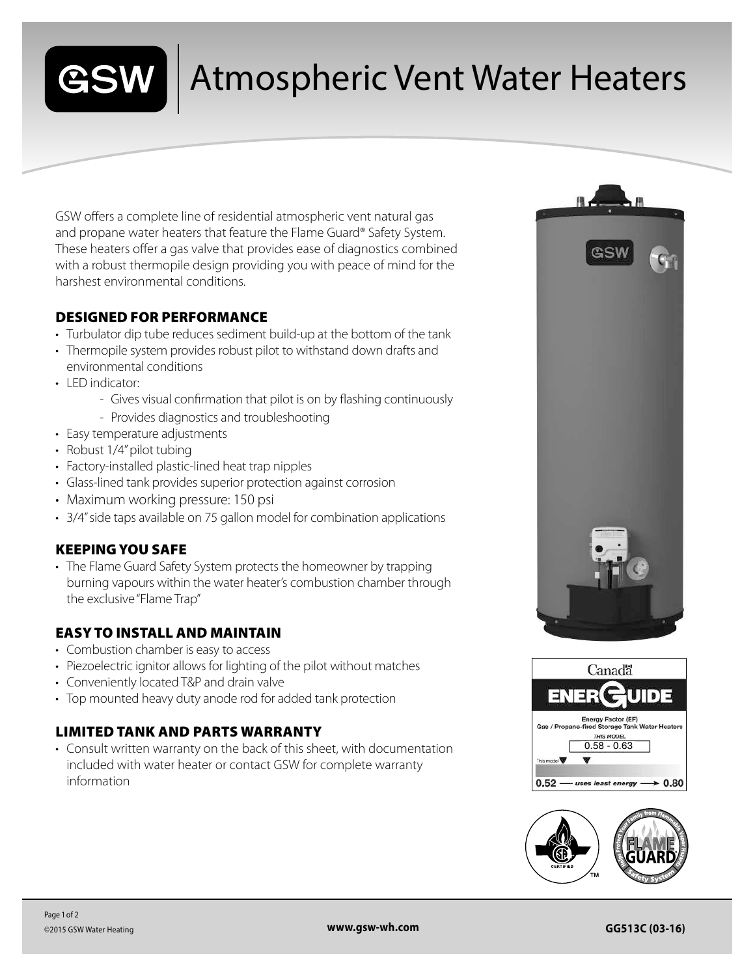

## Atmospheric Vent Water Heaters

GSW offers a complete line of residential atmospheric vent natural gas and propane water heaters that feature the Flame Guard® Safety System. These heaters offer a gas valve that provides ease of diagnostics combined with a robust thermopile design providing you with peace of mind for the harshest environmental conditions.

#### DESIGNED FOR PERFORMANCE

- Turbulator dip tube reduces sediment build-up at the bottom of the tank
- Thermopile system provides robust pilot to withstand down drafts and environmental conditions
- LED indicator:
	- Gives visual confirmation that pilot is on by flashing continuously
	- Provides diagnostics and troubleshooting
- Easy temperature adjustments
- Robust 1/4" pilot tubing
- Factory-installed plastic-lined heat trap nipples
- Glass-lined tank provides superior protection against corrosion
- Maximum working pressure: 150 psi
- 3/4" side taps available on 75 gallon model for combination applications

#### KEEPING YOU SAFE

• The Flame Guard Safety System protects the homeowner by trapping burning vapours within the water heater's combustion chamber through the exclusive "Flame Trap"

#### EASY TO INSTALL AND MAINTAIN

- Combustion chamber is easy to access
- Piezoelectric ignitor allows for lighting of the pilot without matches
- Conveniently located T&P and drain valve
- Top mounted heavy duty anode rod for added tank protection

### LIMITED TANK AND PARTS WARRANTY

• Consult written warranty on the back of this sheet, with documentation included with water heater or contact GSW for complete warranty information